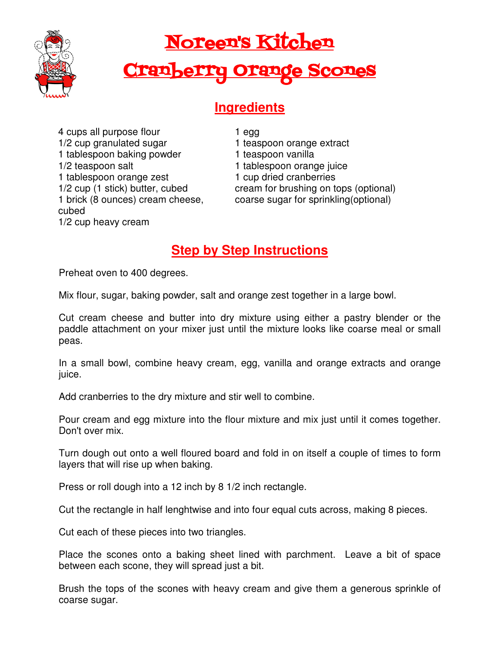

## Noreen's Kitchen

## Cranberry Orange Scones

## **Ingredients**

4 cups all purpose flour 1/2 cup granulated sugar 1 tablespoon baking powder 1/2 teaspoon salt 1 tablespoon orange zest 1/2 cup (1 stick) butter, cubed 1 brick (8 ounces) cream cheese, cubed 1/2 cup heavy cream

1 egg 1 teaspoon orange extract 1 teaspoon vanilla 1 tablespoon orange juice 1 cup dried cranberries cream for brushing on tops (optional) coarse sugar for sprinkling(optional)

## **Step by Step Instructions**

Preheat oven to 400 degrees.

Mix flour, sugar, baking powder, salt and orange zest together in a large bowl.

Cut cream cheese and butter into dry mixture using either a pastry blender or the paddle attachment on your mixer just until the mixture looks like coarse meal or small peas.

In a small bowl, combine heavy cream, egg, vanilla and orange extracts and orange juice.

Add cranberries to the dry mixture and stir well to combine.

Pour cream and egg mixture into the flour mixture and mix just until it comes together. Don't over mix.

Turn dough out onto a well floured board and fold in on itself a couple of times to form layers that will rise up when baking.

Press or roll dough into a 12 inch by 8 1/2 inch rectangle.

Cut the rectangle in half lenghtwise and into four equal cuts across, making 8 pieces.

Cut each of these pieces into two triangles.

Place the scones onto a baking sheet lined with parchment. Leave a bit of space between each scone, they will spread just a bit.

Brush the tops of the scones with heavy cream and give them a generous sprinkle of coarse sugar.